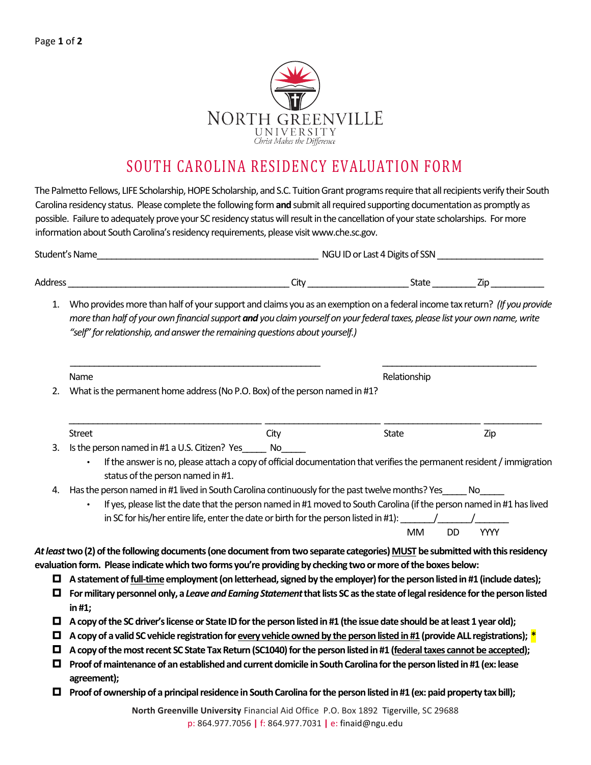

## SOUTH CAROLINA RESIDENCY EVALUATION FORM

The Palmetto Fellows, LIFE Scholarship, HOPE Scholarship, and S.C. Tuition Grant programs require that all recipients verify their South Carolina residency status. Please complete the following form **and**submit all required supporting documentation as promptly as possible. Failure to adequately prove your SC residency status will result in the cancellation of your state scholarships. For more information about South Carolina's residency requirements, please visit www.che.sc.gov.

| Student's Name | NGU ID or Last 4 Digits of SSN |       |     |
|----------------|--------------------------------|-------|-----|
|                |                                |       |     |
| Address        | City                           | State | Zip |

1. Who provides more than half of your support and claims you as an exemption on a federal income tax return? *(If you provide more than half of your own financial support and you claim yourself on your federal taxes, please list your own name, write "self" for relationship, and answer the remaining questions about yourself.)*

|    | <b>Name</b>                                                                 | Relationship |
|----|-----------------------------------------------------------------------------|--------------|
| 2. | What is the permanent home address (No P.O. Box) of the person named in #1? |              |
|    |                                                                             |              |

| Street                                           | Citv | State | Zip |
|--------------------------------------------------|------|-------|-----|
| 3. Is the person named in #1 a U.S. Citizen? Yes | No   |       |     |

- If the answer is no, please attach a copy of official documentation that verifies the permanent resident / immigration status of the person named in #1.
- 4. Has the person named in #1 lived in South Carolina continuously for the past twelve months? Yes No
- If yes, please list the date that the person named in #1 moved to South Carolina (if the person named in #1 has lived in SC for his/her entire life, enter the date or birth for the person listed in #1): MM DD YYYY

*At least***two (2) of the following documents (one document from two separate categories) MUST be submitted with this residency evaluation form. Please indicate which two forms you're providing by checking two or more of the boxes below:** 

- **A statement of full-time employment (on letterhead, signed by the employer) for the person listed in #1 (include dates);**
- **For military personnel only, a** *Leave and Earning Statement***that lists SC as the state of legal residence for the person listed in #1;**
- **A copy of the SC driver's license or State ID for the person listed in #1 (the issue date should be at least 1 year old);**
- **A copy of a valid SC vehicle registration for every vehicle owned by the person listed in #1 (provide ALL registrations); \***
- **A copy of the most recent SC State Tax Return (SC1040) for the person listed in #1 (federal taxes cannot be accepted);**
- **Proof of maintenance of an established and current domicile in South Carolina for the person listed in #1 (ex: lease agreement);**
- **Proof of ownership of a principal residence in South Carolina for the person listed in #1 (ex: paid property tax bill);**